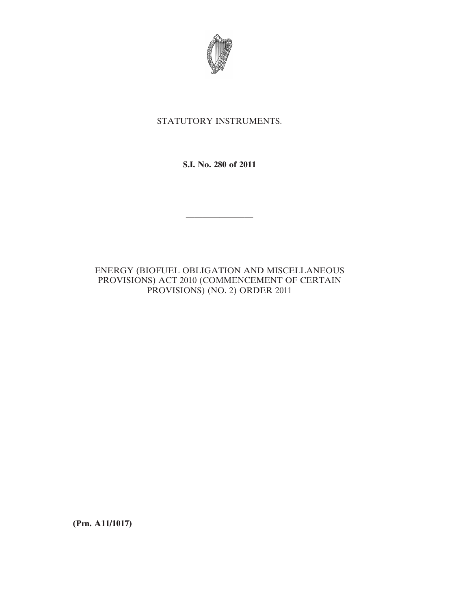

## STATUTORY INSTRUMENTS.

**S.I. No. 280 of 2011**

————————

# ENERGY (BIOFUEL OBLIGATION AND MISCELLANEOUS PROVISIONS) ACT 2010 (COMMENCEMENT OF CERTAIN PROVISIONS) (NO. 2) ORDER 2011

**(Prn. A11/1017)**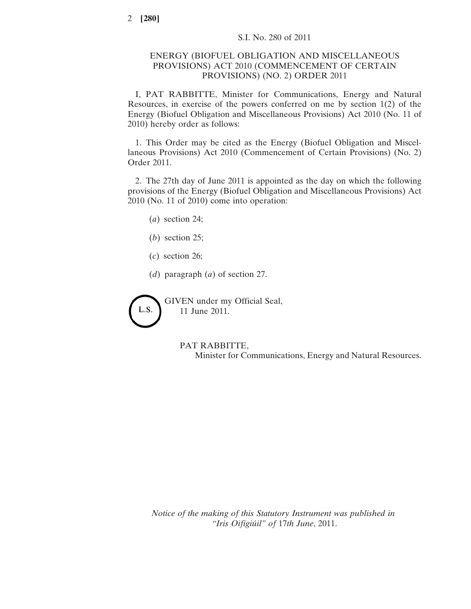### ENERGY (BIOFUEL OBLIGATION AND MISCELLANEOUS PROVISIONS) ACT 2010 (COMMENCEMENT OF CERTAIN PROVISIONS) (NO. 2) ORDER 2011

I, PAT RABBITTE, Minister for Communications, Energy and Natural Resources, in exercise of the powers conferred on me by section 1(2) of the Energy (Biofuel Obligation and Miscellaneous Provisions) Act 2010 (No. 11 of 2010) hereby order as follows:

1. This Order may be cited as the Energy (Biofuel Obligation and Miscellaneous Provisions) Act 2010 (Commencement of Certain Provisions) (No. 2) Order 2011.

2. The 27th day of June 2011 is appointed as the day on which the following provisions of the Energy (Biofuel Obligation and Miscellaneous Provisions) Act 2010 (No. 11 of 2010) come into operation:

- (*a*) section 24;
- (*b*) section 25;
- (*c*) section 26;
- (*d*) paragraph (*a*) of section 27.

GIVEN under my Official Seal, L.S. 11 June 2011.

#### PAT RABBITTE,

Minister for Communications, Energy and Natural Resources.

*Notice of the making of this Statutory Instrument was published in "Iris Oifigiúil" of* 17*th June*, 2011.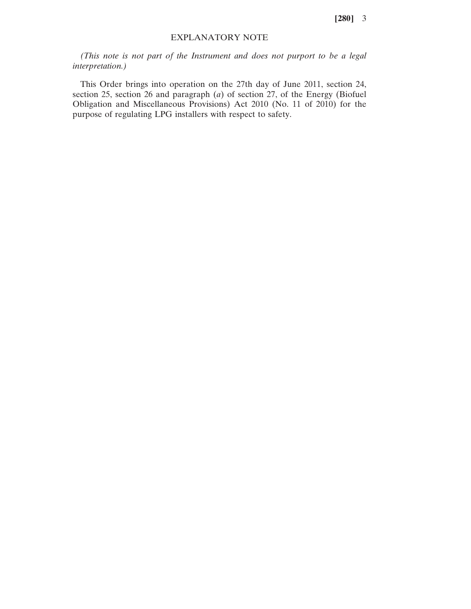**[280]** 3

### EXPLANATORY NOTE

*(This note is not part of the Instrument and does not purport to be a legal interpretation.)*

This Order brings into operation on the 27th day of June 2011, section 24, section 25, section 26 and paragraph (*a*) of section 27, of the Energy (Biofuel Obligation and Miscellaneous Provisions) Act 2010 (No. 11 of 2010) for the purpose of regulating LPG installers with respect to safety.